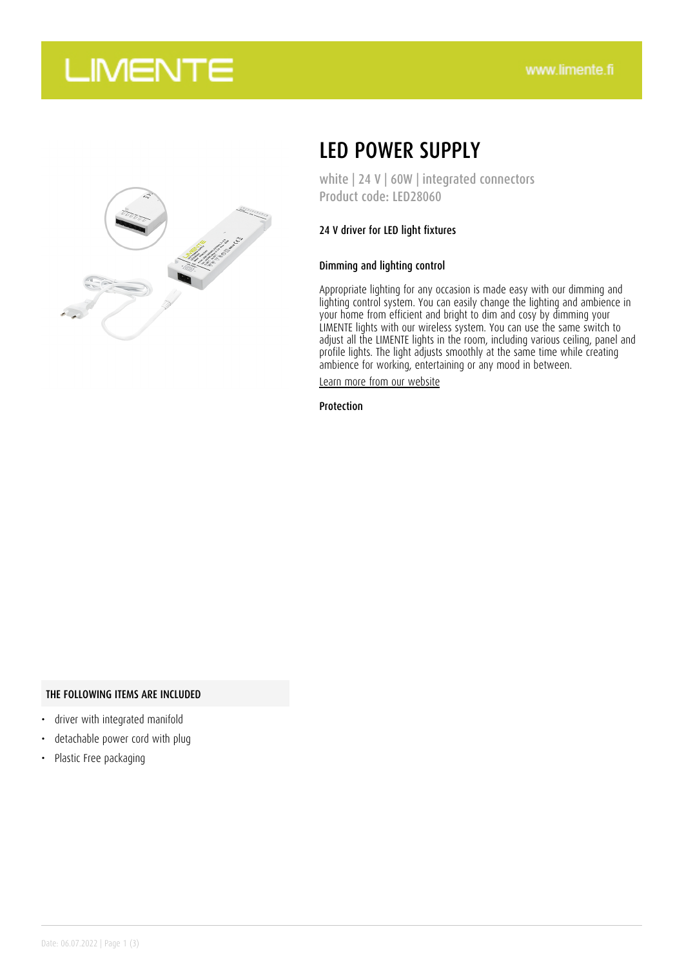## **LIMENTE**



## LED POWER SUPPLY

white | 24 V | 60W | integrated connectors Product code: LED28060

### 24 V driver for LED light fixtures

### Dimming and lighting control

Appropriate lighting for any occasion is made easy with our dimming and lighting control system. You can easily change the lighting and ambience in your home from efficient and bright to dim and cosy by dimming your LIMENTE lights with our wireless system. You can use the same switch to adjust all the LIMENTE lights in the room, including various ceiling, panel and profile lights. The light adjusts smoothly at the same time while creating ambience for working, entertaining or any mood in between.

[Learn more from our website](https://www.limente.fi/tuotteet/LED28060)

Protection

#### THE FOLLOWING ITEMS ARE INCLUDED

- driver with integrated manifold
- detachable power cord with plug
- Plastic Free packaging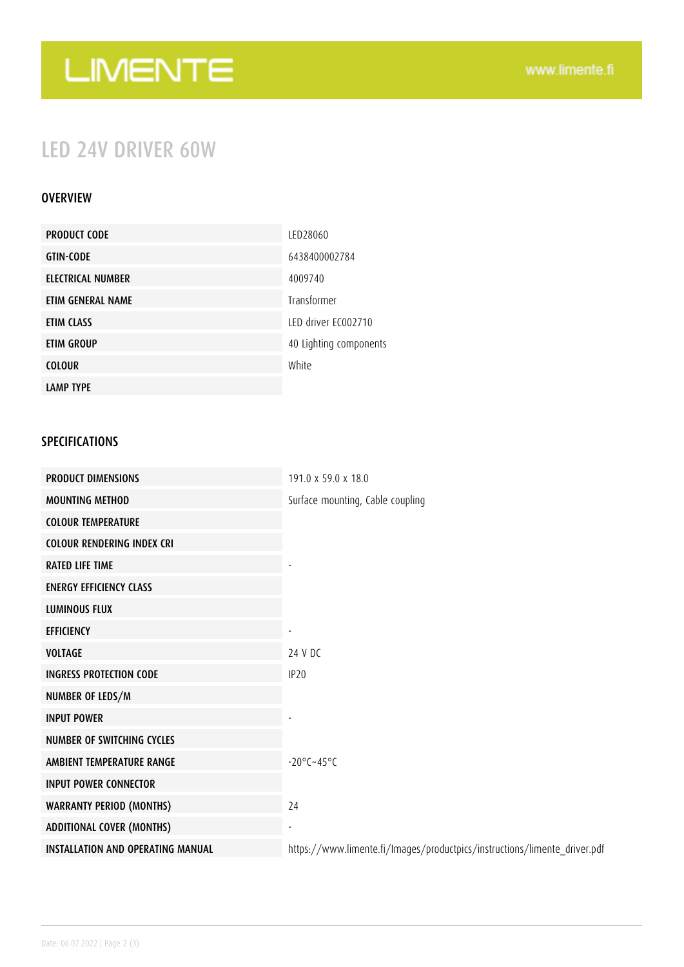# LIMENTE

## LED 24V DRIVER 60W

### **OVERVIEW**

| <b>PRODUCT CODE</b>      | LED28060               |
|--------------------------|------------------------|
| <b>GTIN-CODE</b>         | 6438400002784          |
| <b>ELECTRICAL NUMBER</b> | 4009740                |
| ETIM GENERAL NAME        | Transformer            |
| ETIM CLASS               | LED driver EC002710    |
| <b>ETIM GROUP</b>        | 40 Lighting components |
| <b>COLOUR</b>            | White                  |
| <b>LAMP TYPE</b>         |                        |

### SPECIFICATIONS

| <b>PRODUCT DIMENSIONS</b>                | 191.0 x 59.0 x 18.0                                                       |
|------------------------------------------|---------------------------------------------------------------------------|
| <b>MOUNTING METHOD</b>                   | Surface mounting, Cable coupling                                          |
| <b>COLOUR TEMPERATURE</b>                |                                                                           |
| <b>COLOUR RENDERING INDEX CRI</b>        |                                                                           |
| <b>RATED LIFE TIME</b>                   |                                                                           |
| <b>ENERGY EFFICIENCY CLASS</b>           |                                                                           |
| <b>LUMINOUS FLUX</b>                     |                                                                           |
| <b>EFFICIENCY</b>                        |                                                                           |
| <b>VOLTAGE</b>                           | 24 V DC                                                                   |
| <b>INGRESS PROTECTION CODE</b>           | IP <sub>20</sub>                                                          |
| NUMBER OF LEDS/M                         |                                                                           |
| <b>INPUT POWER</b>                       |                                                                           |
| <b>NUMBER OF SWITCHING CYCLES</b>        |                                                                           |
| AMBIENT TEMPERATURE RANGE                | $-20^{\circ}$ C $-45^{\circ}$ C                                           |
| <b>INPUT POWER CONNECTOR</b>             |                                                                           |
| <b>WARRANTY PERIOD (MONTHS)</b>          | 24                                                                        |
| <b>ADDITIONAL COVER (MONTHS)</b>         |                                                                           |
| <b>INSTALLATION AND OPERATING MANUAL</b> | https://www.limente.fi/Images/productpics/instructions/limente_driver.pdf |